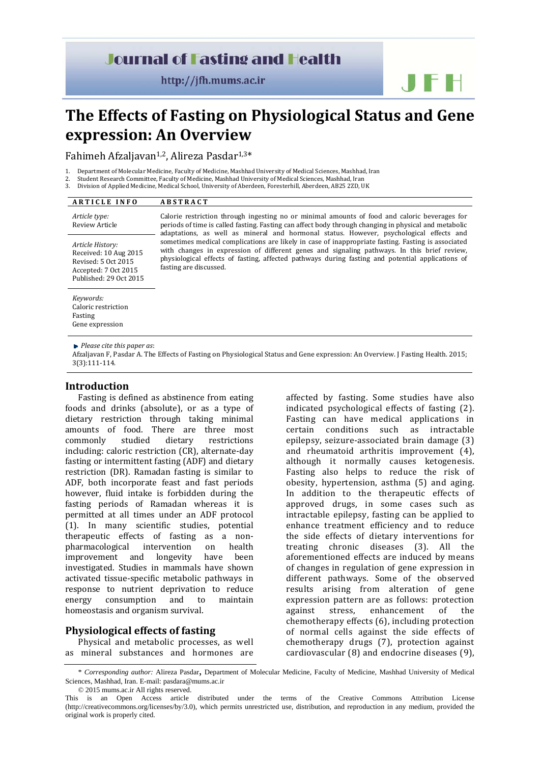## **Journal of Fasting and Health**

http://jfh.mums.ac.ir

# **The Effects of Fasting on Physiological Status and Gene expression: An Overview**

Fahimeh Afzaljavan<sup>1,2</sup>, Alireza Pasdar<sup>1,3\*</sup>

- 1. Department of Molecular Medicine, Faculty of Medicine, Mashhad University of Medical Sciences, Mashhad, Iran
- Student Research Committee, Faculty of Medicine, Mashhad University of Medical Sciences, Mashhad, Iran Division of Applied Medicine, Medical School, University of Aberdeen, Foresterhill, Aberdeen, AB25 2ZD, UK

| <b>ARTICLE INFO</b>                                                                                                | <b>ABSTRACT</b>                                                                                                                                                                                                                                                                                                                                                                                                                                                                                                                                                                                                                      |
|--------------------------------------------------------------------------------------------------------------------|--------------------------------------------------------------------------------------------------------------------------------------------------------------------------------------------------------------------------------------------------------------------------------------------------------------------------------------------------------------------------------------------------------------------------------------------------------------------------------------------------------------------------------------------------------------------------------------------------------------------------------------|
| Article type:<br>Review Article                                                                                    | Calorie restriction through ingesting no or minimal amounts of food and caloric beverages for<br>periods of time is called fasting. Fasting can affect body through changing in physical and metabolic<br>adaptations, as well as mineral and hormonal status. However, psychological effects and<br>sometimes medical complications are likely in case of inappropriate fasting. Fasting is associated<br>with changes in expression of different genes and signaling pathways. In this brief review,<br>physiological effects of fasting, affected pathways during fasting and potential applications of<br>fasting are discussed. |
| Article History:<br>Received: 10 Aug 2015<br>Revised: 5 Oct 2015<br>Accepted: 7 Oct 2015<br>Published: 29 Oct 2015 |                                                                                                                                                                                                                                                                                                                                                                                                                                                                                                                                                                                                                                      |
| Keywords:<br>Caloric restriction<br>Fasting<br>Gene expression                                                     |                                                                                                                                                                                                                                                                                                                                                                                                                                                                                                                                                                                                                                      |

*Please cite this paper as*: 

Afzaljavan F, Pasdar A. The Effects of Fasting on Physiological Status and Gene expression: An Overview. I Fasting Health. 2015; 3(3):111‐114. 

#### **Introduction**

Fasting is defined as abstinence from eating foods and drinks (absolute), or as a type of dietary restriction through taking minimal amounts of food. There are three most commonly studied dietary restrictions including: caloric restriction (CR), alternate-day fasting or intermittent fasting (ADF) and dietary restriction (DR). Ramadan fasting is similar to ADF, both incorporate feast and fast periods however, fluid intake is forbidden during the fasting periods of Ramadan whereas it is permitted at all times under an ADF protocol (1). In many scientific studies, potential therapeutic effects of fasting as a nonpharmacological intervention on health improvement and longevity have been investigated. Studies in mammals have shown activated tissue-specific metabolic pathways in response to nutrient deprivation to reduce energy consumption and to maintain homeostasis and organism survival.

## **Physiological effects of fasting**

Physical and metabolic processes, as well as mineral substances and hormones are

affected by fasting. Some studies have also indicated psychological effects of fasting (2). Fasting can have medical applications in certain conditions such as intractable epilepsy, seizure-associated brain damage (3) and rheumatoid arthritis improvement (4), although it normally causes ketogenesis. Fasting also helps to reduce the risk of obesity, hypertension, asthma (5) and aging. In addition to the therapeutic effects of approved drugs, in some cases such as intractable epilepsy, fasting can be applied to enhance treatment efficiency and to reduce the side effects of dietary interventions for treating chronic diseases (3). All the aforementioned effects are induced by means of changes in regulation of gene expression in different pathways. Some of the observed results arising from alteration of gene expression pattern are as follows: protection against stress, enhancement of the chemotherapy effects (6), including protection of normal cells against the side effects of chemotherapy drugs (7), protection against cardiovascular  $(8)$  and endocrine diseases  $(9)$ ,

<sup>\*</sup> *Corresponding author:* Alireza Pasdar, Department of Molecular Medicine, Faculty of Medicine, Mashhad University of Medical Sciences, Mashhad, Iran. E-mail: pasdara@mums.ac.ir © 2015 mums.ac.ir All rights reserved.

This is an Open Access article distributed under the terms of the Creative Commons Attribution License (http://creativecommons.org/licenses/by/3.0), which permits unrestricted use, distribution, and reproduction in any medium, provided the original work is properly cited.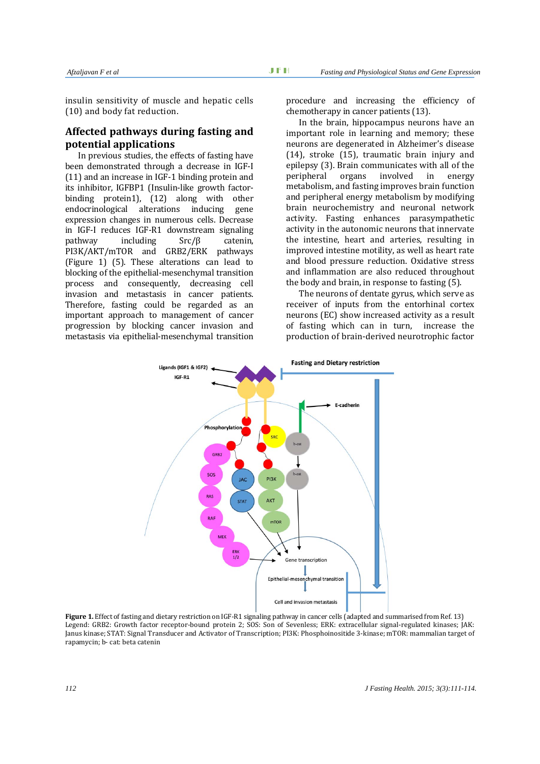insulin sensitivity of muscle and hepatic cells (10) and body fat reduction.

## **Affected pathways during fasting and potential applications**

In previous studies, the effects of fasting have been demonstrated through a decrease in IGF-I  $(11)$  and an increase in IGF-1 binding protein and its inhibitor, IGFBP1 (Insulin-like growth factorbinding protein1), (12) along with other endocrinological alterations inducing gene expression changes in numerous cells. Decrease in IGF-I reduces IGF-R1 downstream signaling  $pathway$  including  $Src/\beta$  catenin, PI3K/AKT/mTOR and GRB2/ERK pathways (Figure 1)  $(5)$ . These alterations can lead to blocking of the epithelial-mesenchymal transition process and consequently, decreasing cell invasion and metastasis in cancer patients. Therefore, fasting could be regarded as an important approach to management of cancer progression by blocking cancer invasion and metastasis via epithelial-mesenchymal transition

procedure and increasing the efficiency of chemotherapy in cancer patients (13).

In the brain, hippocampus neurons have an important role in learning and memory; these neurons are degenerated in Alzheimer's disease  $(14)$ , stroke  $(15)$ , traumatic brain injury and epilepsy (3). Brain communicates with all of the peripheral organs involved in energy metabolism, and fasting improves brain function and peripheral energy metabolism by modifying brain neurochemistry and neuronal network activity. Fasting enhances parasympathetic activity in the autonomic neurons that innervate the intestine, heart and arteries, resulting in improved intestine motility, as well as heart rate and blood pressure reduction. Oxidative stress and inflammation are also reduced throughout the body and brain, in response to fasting  $(5)$ .

The neurons of dentate gyrus, which serve as receiver of inputs from the entorhinal cortex neurons (EC) show increased activity as a result of fasting which can in turn, increase the production of brain-derived neurotrophic factor



**Figure** 1. Effect of fasting and dietary restriction on IGF-R1 signaling pathway in cancer cells (adapted and summarised from Ref. 13) Legend: GRB2: Growth factor receptor-bound protein 2; SOS: Son of Sevenless; ERK: extracellular signal-regulated kinases; IAK: Janus kinase; STAT: Signal Transducer and Activator of Transcription; PI3K: Phosphoinositide 3-kinase; mTOR: mammalian target of rapamycin; b- cat; beta catenin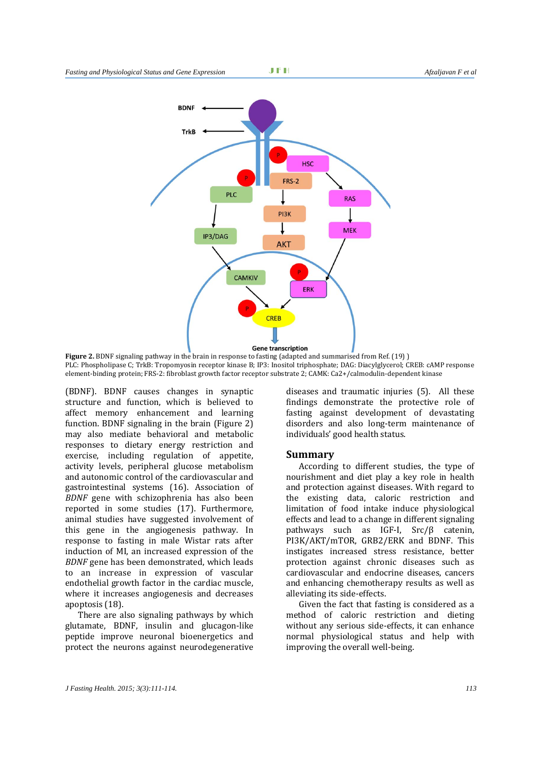

**Figure** 2. BDNF signaling pathway in the brain in response to fasting (adapted and summarised from Ref. (19) ) PLC: Phospholipase C; TrkB: Tropomyosin receptor kinase B; IP3: Inositol triphosphate; DAG: Diacylglycerol; CREB: cAMP response element-binding protein; FRS-2: fibroblast growth factor receptor substrate 2; CAMK: Ca2+/calmodulin-dependent kinase

(BDNF). BDNF causes changes in synaptic structure and function, which is believed to affect memory enhancement and learning function. BDNF signaling in the brain  $(Figure 2)$ may also mediate behavioral and metabolic responses to dietary energy restriction and exercise, including regulation of appetite, activity levels, peripheral glucose metabolism and autonomic control of the cardiovascular and gastrointestinal systems (16). Association of *BDNF* gene with schizophrenia has also been reported in some studies (17). Furthermore, animal studies have suggested involvement of this gene in the angiogenesis pathway. In response to fasting in male Wistar rats after induction of MI, an increased expression of the *BDNF* gene has been demonstrated, which leads to an increase in expression of vascular endothelial growth factor in the cardiac muscle. where it increases angiogenesis and decreases apoptosis (18).

There are also signaling pathways by which glutamate, BDNF, insulin and glucagon-like peptide improve neuronal bioenergetics and protect the neurons against neurodegenerative diseases and traumatic injuries  $(5)$ . All these findings demonstrate the protective role of fasting against development of devastating disorders and also long-term maintenance of individuals' good health status.

#### **Summary**

According to different studies, the type of nourishment and diet play a key role in health and protection against diseases. With regard to the existing data, caloric restriction and limitation of food intake induce physiological effects and lead to a change in different signaling pathways such as IGF-I,  $SrC/\beta$  catenin, PI3K/AKT/mTOR, GRB2/ERK and BDNF. This instigates increased stress resistance, better protection against chronic diseases such as cardiovascular and endocrine diseases, cancers and enhancing chemotherapy results as well as alleviating its side-effects.

Given the fact that fasting is considered as a method of caloric restriction and dieting without any serious side-effects, it can enhance normal physiological status and help with improving the overall well-being.